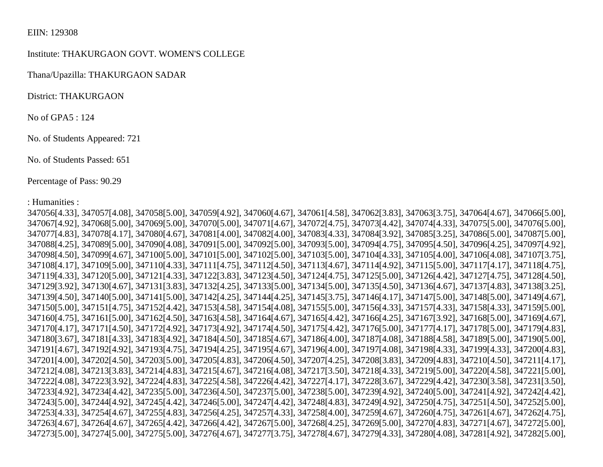## EIIN: 129308

## Institute: THAKURGAON GOVT. WOMEN'S COLLEGE

Thana/Upazilla: THAKURGAON SADAR

District: THAKURGAON

No of GPA5 : 124

No. of Students Appeared: 721

No. of Students Passed: 651

Percentage of Pass: 90.29

: Humanities :

347056[4.33], 347057[4.08], 347058[5.00], 347059[4.92], 347060[4.67], 347061[4.58], 347062[3.83], 347063[3.75], 347064[4.67], 347066[5.00], 347067[4.92], 347068[5.00], 347069[5.00], 347070[5.00], 347071[4.67], 347072[4.75], 347073[4.42], 347074[4.33], 347075[5.00], 347076[5.00], 347077[4.83], 347078[4.17], 347080[4.67], 347081[4.00], 347082[4.00], 347083[4.33], 347084[3.92], 347085[3.25], 347086[5.00], 347087[5.00], 347088[4.25], 347089[5.00], 347090[4.08], 347091[5.00], 347092[5.00], 347093[5.00], 347094[4.75], 347095[4.50], 347096[4.25], 347097[4.92], 347098[4.50], 347099[4.67], 347100[5.00], 347101[5.00], 347102[5.00], 347103[5.00], 347104[4.33], 347105[4.00], 347106[4.08], 347107[3.75], 347108[4.17], 347109[5.00], 347110[4.33], 347111[4.75], 347112[4.50], 347113[4.67], 347114[4.92], 347115[5.00], 347117[4.17], 347118[4.75], 347119[4.33], 347120[5.00], 347121[4.33], 347122[3.83], 347123[4.50], 347124[4.75], 347125[5.00], 347126[4.42], 347127[4.75], 347128[4.50], 347129[3.92], 347130[4.67], 347131[3.83], 347132[4.25], 347133[5.00], 347134[5.00], 347135[4.50], 347136[4.67], 347137[4.83], 347138[3.25], 347139[4.50], 347140[5.00], 347141[5.00], 347142[4.25], 347144[4.25], 347145[3.75], 347146[4.17], 347147[5.00], 347148[5.00], 347149[4.67], 347150[5.00], 347151[4.75], 347152[4.42], 347153[4.58], 347154[4.08], 347155[5.00], 347156[4.33], 347157[4.33], 347158[4.33], 347159[5.00], 347160[4.75], 347161[5.00], 347162[4.50], 347163[4.58], 347164[4.67], 347165[4.42], 347166[4.25], 347167[3.92], 347168[5.00], 347169[4.67], 347170[4.17], 347171[4.50], 347172[4.92], 347173[4.92], 347174[4.50], 347175[4.42], 347176[5.00], 347177[4.17], 347178[5.00], 347179[4.83], 347180[3.67], 347181[4.33], 347183[4.92], 347184[4.50], 347185[4.67], 347186[4.00], 347187[4.08], 347188[4.58], 347189[5.00], 347190[5.00], 347191[4.67], 347192[4.92], 347193[4.75], 347194[4.25], 347195[4.67], 347196[4.00], 347197[4.08], 347198[4.33], 347199[4.33], 347200[4.83], 347201[4.00], 347202[4.50], 347203[5.00], 347205[4.83], 347206[4.50], 347207[4.25], 347208[3.83], 347209[4.83], 347210[4.50], 347211[4.17], 347212[4.08], 347213[3.83], 347214[4.83], 347215[4.67], 347216[4.08], 347217[3.50], 347218[4.33], 347219[5.00], 347220[4.58], 347221[5.00], 347222[4.08], 347223[3.92], 347224[4.83], 347225[4.58], 347226[4.42], 347227[4.17], 347228[3.67], 347229[4.42], 347230[3.58], 347231[3.50], 347233[4.92], 347234[4.42], 347235[5.00], 347236[4.50], 347237[5.00], 347238[5.00], 347239[4.92], 347240[5.00], 347241[4.92], 347242[4.42], 347243[5.00], 347244[4.92], 347245[4.42], 347246[5.00], 347247[4.42], 347248[4.83], 347249[4.92], 347250[4.75], 347251[4.50], 347252[5.00], 347253[4.33], 347254[4.67], 347255[4.83], 347256[4.25], 347257[4.33], 347258[4.00], 347259[4.67], 347260[4.75], 347261[4.67], 347262[4.75], 347263[4.67], 347264[4.67], 347265[4.42], 347266[4.42], 347267[5.00], 347268[4.25], 347269[5.00], 347270[4.83], 347271[4.67], 347272[5.00], 347273[5.00], 347274[5.00], 347275[5.00], 347276[4.67], 347277[3.75], 347278[4.67], 347279[4.33], 347280[4.08], 347281[4.92], 347282[5.00],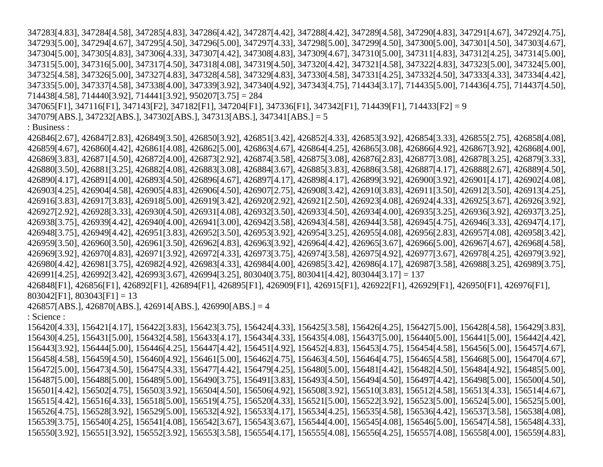347283[4.83], 347284[4.58], 347285[4.83], 347286[4.42], 347287[4.42], 347288[4.42], 347289[4.58], 347290[4.83], 347291[4.67], 347292[4.75], 347293[5.00], 347294[4.67], 347295[4.50], 347296[5.00], 347297[4.33], 347298[5.00], 347299[4.50], 347300[5.00], 347301[4.50], 347303[4.67], 347304[5.00], 347305[4.83], 347306[4.33], 347307[4.42], 347308[4.83], 347309[4.67], 347310[5.00], 347311[4.83], 347312[4.25], 347314[5.00], 347315[5.00], 347316[5.00], 347317[4.50], 347318[4.08], 347319[4.50], 347320[4.42], 347321[4.58], 347322[4.83], 347323[5.00], 347324[5.00], 347325[4.58], 347326[5.00], 347327[4.83], 347328[4.58], 347329[4.83], 347330[4.58], 347331[4.25], 347332[4.50], 347333[4.33], 347334[4.42], 347335[5.00], 347337[4.58], 347338[4.00], 347339[3.92], 347340[4.92], 347343[4.75], 714434[3.17], 714435[5.00], 714436[4.75], 714437[4.50], 714438[4.58], 714440[3.92], 714441[3.92], 950207[3.75] = 284

347065[F1], 347116[F1], 347143[F2], 347182[F1], 347204[F1], 347336[F1], 347342[F1], 714439[F1], 714433[F2] = 9

347079[ABS.], 347232[ABS.], 347302[ABS.], 347313[ABS.], 347341[ABS.] = 5

: Business :

426846[2.67], 426847[2.83], 426849[3.50], 426850[3.92], 426851[3.42], 426852[4.33], 426853[3.92], 426854[3.33], 426855[2.75], 426858[4.08], 426859[4.67], 426860[4.42], 426861[4.08], 426862[5.00], 426863[4.67], 426864[4.25], 426865[3.08], 426866[4.92], 426867[3.92], 426868[4.00], 426869[3.83], 426871[4.50], 426872[4.00], 426873[2.92], 426874[3.58], 426875[3.08], 426876[2.83], 426877[3.08], 426878[3.25], 426879[3.33], 426880[3.50], 426881[3.25], 426882[4.08], 426883[3.08], 426884[3.67], 426885[3.83], 426886[3.58], 426887[4.17], 426888[2.67], 426889[4.50], 426890[4.17], 426891[4.00], 426893[4.50], 426896[4.67], 426897[4.17], 426898[4.17], 426899[3.92], 426900[3.92], 426901[4.17], 426902[4.08], 426903[4.25], 426904[4.58], 426905[4.83], 426906[4.50], 426907[2.75], 426908[3.42], 426910[3.83], 426911[3.50], 426912[3.50], 426913[4.25], 426916[3.83], 426917[3.83], 426918[5.00], 426919[3.42], 426920[2.92], 426921[2.50], 426923[4.08], 426924[4.33], 426925[3.67], 426926[3.92], 426927[2.92], 426928[3.33], 426930[4.50], 426931[4.08], 426932[3.50], 426933[4.50], 426934[4.00], 426935[3.25], 426936[3.92], 426937[3.25], 426938[3.75], 426939[4.42], 426940[4.00], 426941[3.00], 426942[3.58], 426943[4.58], 426944[3.58], 426945[4.75], 426946[3.33], 426947[4.17], 426948[3.75], 426949[4.42], 426951[3.83], 426952[3.50], 426953[3.92], 426954[3.25], 426955[4.08], 426956[2.83], 426957[4.08], 426958[3.42], 426959[3.50], 426960[3.50], 426961[3.50], 426962[4.83], 426963[3.92], 426964[4.42], 426965[3.67], 426966[5.00], 426967[4.67], 426968[4.58], 426969[3.92], 426970[4.83], 426971[3.92], 426972[4.33], 426973[3.75], 426974[3.58], 426975[4.92], 426977[3.67], 426978[4.25], 426979[3.92], 426980[4.42], 426981[3.75], 426982[4.92], 426983[4.33], 426984[4.00], 426985[3.42], 426986[4.17], 426987[3.58], 426988[3.25], 426989[3.75], 426991[4.25], 426992[3.42], 426993[3.67], 426994[3.25], 803040[3.75], 803041[4.42], 803044[3.17] = 137 426848[F1], 426856[F1], 426892[F1], 426894[F1], 426895[F1], 426909[F1], 426915[F1], 426922[F1], 426929[F1], 426950[F1], 426976[F1],  $803042$ [F1],  $803043$ [F1] = 13 426857[ABS.], 426870[ABS.], 426914[ABS.], 426990[ABS.] = 4 : Science : 156420[4.33], 156421[4.17], 156422[3.83], 156423[3.75], 156424[4.33], 156425[3.58], 156426[4.25], 156427[5.00], 156428[4.58], 156429[3.83], 156430[4.25], 156431[5.00], 156432[4.58], 156433[4.17], 156434[4.33], 156435[4.08], 156437[5.00], 156440[5.00], 156441[5.00], 156442[4.42], 156443[3.92], 156444[5.00], 156446[4.25], 156447[4.42], 156451[4.92], 156452[4.83], 156453[4.75], 156454[4.58], 156456[5.00], 156457[4.67], 156458[4.58], 156459[4.50], 156460[4.92], 156461[5.00], 156462[4.75], 156463[4.50], 156464[4.75], 156465[4.58], 156468[5.00], 156470[4.67], 156472[5.00], 156473[4.50], 156475[4.33], 156477[4.42], 156479[4.25], 156480[5.00], 156481[4.42], 156482[4.50], 156484[4.92], 156485[5.00], 156487[5.00], 156488[5.00], 156489[5.00], 156490[3.75], 156491[3.83], 156493[4.50], 156494[4.50], 156497[4.42], 156498[5.00], 156500[4.50], 156501[4.42], 156502[4.75], 156503[3.92], 156504[4.50], 156506[4.92], 156508[3.92], 156510[3.83], 156512[4.58], 156513[4.33], 156514[4.67], 156515[4.42], 156516[4.33], 156518[5.00], 156519[4.75], 156520[4.33], 156521[5.00], 156522[3.92], 156523[5.00], 156524[5.00], 156525[5.00], 156526[4.75], 156528[3.92], 156529[5.00], 156532[4.92], 156533[4.17], 156534[4.25], 156535[4.58], 156536[4.42], 156537[3.58], 156538[4.08], 156539[3.75], 156540[4.25], 156541[4.08], 156542[3.67], 156543[3.67], 156544[4.00], 156545[4.08], 156546[5.00], 156547[4.58], 156548[4.33], 156550[3.92], 156551[3.92], 156552[3.92], 156553[3.58], 156554[4.17], 156555[4.08], 156556[4.25], 156557[4.08], 156558[4.00], 156559[4.83],